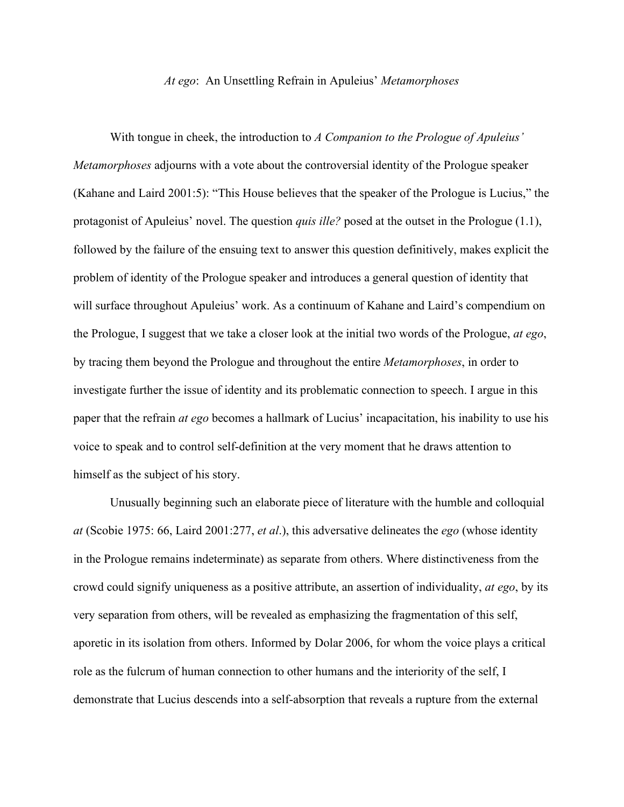## *At ego*: An Unsettling Refrain in Apuleius' *Metamorphoses*

With tongue in cheek, the introduction to *A Companion to the Prologue of Apuleius' Metamorphoses* adjourns with a vote about the controversial identity of the Prologue speaker (Kahane and Laird 2001:5): "This House believes that the speaker of the Prologue is Lucius," the protagonist of Apuleius' novel. The question *quis ille?* posed at the outset in the Prologue (1.1), followed by the failure of the ensuing text to answer this question definitively, makes explicit the problem of identity of the Prologue speaker and introduces a general question of identity that will surface throughout Apuleius' work. As a continuum of Kahane and Laird's compendium on the Prologue, I suggest that we take a closer look at the initial two words of the Prologue, *at ego*, by tracing them beyond the Prologue and throughout the entire *Metamorphoses*, in order to investigate further the issue of identity and its problematic connection to speech. I argue in this paper that the refrain *at ego* becomes a hallmark of Lucius' incapacitation, his inability to use his voice to speak and to control self-definition at the very moment that he draws attention to himself as the subject of his story.

Unusually beginning such an elaborate piece of literature with the humble and colloquial *at* (Scobie 1975: 66, Laird 2001:277, *et al*.), this adversative delineates the *ego* (whose identity in the Prologue remains indeterminate) as separate from others. Where distinctiveness from the crowd could signify uniqueness as a positive attribute, an assertion of individuality, *at ego*, by its very separation from others, will be revealed as emphasizing the fragmentation of this self, aporetic in its isolation from others. Informed by Dolar 2006, for whom the voice plays a critical role as the fulcrum of human connection to other humans and the interiority of the self, I demonstrate that Lucius descends into a self-absorption that reveals a rupture from the external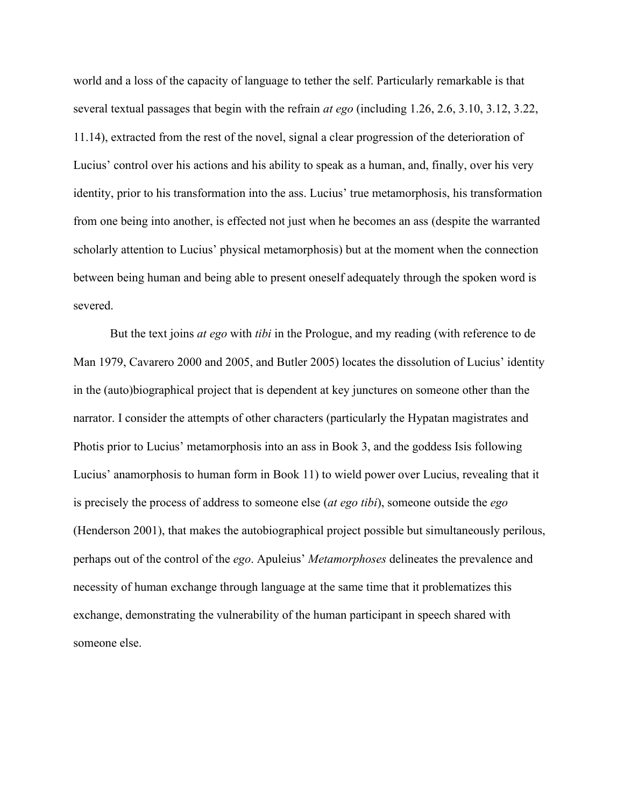world and a loss of the capacity of language to tether the self. Particularly remarkable is that several textual passages that begin with the refrain *at ego* (including 1.26, 2.6, 3.10, 3.12, 3.22, 11.14), extracted from the rest of the novel, signal a clear progression of the deterioration of Lucius' control over his actions and his ability to speak as a human, and, finally, over his very identity, prior to his transformation into the ass. Lucius' true metamorphosis, his transformation from one being into another, is effected not just when he becomes an ass (despite the warranted scholarly attention to Lucius' physical metamorphosis) but at the moment when the connection between being human and being able to present oneself adequately through the spoken word is severed.

But the text joins *at ego* with *tibi* in the Prologue, and my reading (with reference to de Man 1979, Cavarero 2000 and 2005, and Butler 2005) locates the dissolution of Lucius' identity in the (auto)biographical project that is dependent at key junctures on someone other than the narrator. I consider the attempts of other characters (particularly the Hypatan magistrates and Photis prior to Lucius' metamorphosis into an ass in Book 3, and the goddess Isis following Lucius' anamorphosis to human form in Book 11) to wield power over Lucius, revealing that it is precisely the process of address to someone else (*at ego tibi*), someone outside the *ego* (Henderson 2001), that makes the autobiographical project possible but simultaneously perilous, perhaps out of the control of the *ego*. Apuleius' *Metamorphoses* delineates the prevalence and necessity of human exchange through language at the same time that it problematizes this exchange, demonstrating the vulnerability of the human participant in speech shared with someone else.